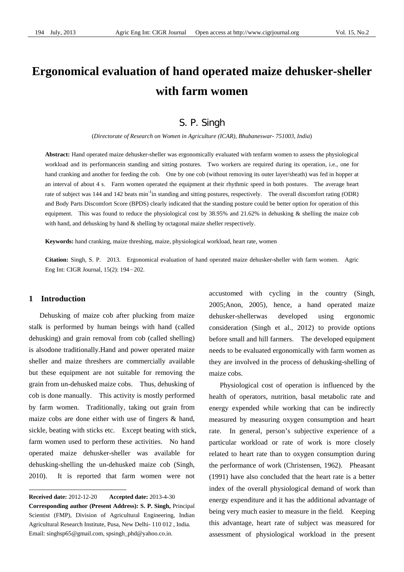# **Ergonomical evaluation of hand operated maize dehusker-sheller with farm women**

# S. P. Singh

(*Directorate of Research on Women in Agriculture (ICAR), Bhubaneswar- 751003, India*)

**Abstract:** Hand operated maize dehusker-sheller was ergonomically evaluated with tenfarm women to assess the physiological workload and its performancein standing and sitting postures. Two workers are required during its operation, i.e., one for hand cranking and another for feeding the cob. One by one cob (without removing its outer layer/sheath) was fed in hopper at an interval of about 4 s. Farm women operated the equipment at their rhythmic speed in both postures. The average heart rate of subject was 144 and 142 beats min<sup>-1</sup>in standing and sitting postures, respectively. The overall discomfort rating (ODR) and Body Parts Discomfort Score (BPDS) clearly indicated that the standing posture could be better option for operation of this equipment. This was found to reduce the physiological cost by  $38.95\%$  and  $21.62\%$  in dehusking & shelling the maize cob with hand, and dehusking by hand  $\&$  shelling by octagonal maize sheller respectively.

**Keywords:** hand cranking, maize threshing, maize, physiological workload, heart rate, women

**Citation:** Singh, S. P. 2013. Ergonomical evaluation of hand operated maize dehusker-sheller with farm women. Agric Eng Int: CIGR Journal, 15(2): 194-202.

### **1 Introduction**

 $\overline{a}$ 

Dehusking of maize cob after plucking from maize stalk is performed by human beings with hand (called dehusking) and grain removal from cob (called shelling) is alsodone traditionally.Hand and power operated maize sheller and maize threshers are commercially available but these equipment are not suitable for removing the grain from un-dehusked maize cobs. Thus, dehusking of cob is done manually. This activity is mostly performed by farm women. Traditionally, taking out grain from maize cobs are done either with use of fingers & hand, sickle, beating with sticks etc. Except beating with stick, farm women used to perform these activities. No hand operated maize dehusker-sheller was available for dehusking-shelling the un-dehusked maize cob (Singh, 2010). It is reported that farm women were not

accustomed with cycling in the country (Singh, 2005;Anon, 2005), hence, a hand operated maize dehusker-shellerwas developed using ergonomic consideration (Singh et al., 2012) to provide options before small and hill farmers. The developed equipment needs to be evaluated ergonomically with farm women as they are involved in the process of dehusking-shelling of maize cobs.

Physiological cost of operation is influenced by the health of operators, nutrition, basal metabolic rate and energy expended while working that can be indirectly measured by measuring oxygen consumption and heart rate. In general, person's subjective experience of a particular workload or rate of work is more closely related to heart rate than to oxygen consumption during the performance of work (Christensen, 1962). Pheasant (1991) have also concluded that the heart rate is a better index of the overall physiological demand of work than energy expenditure and it has the additional advantage of being very much easier to measure in the field. Keeping this advantage, heart rate of subject was measured for assessment of physiological workload in the present

**Received date:** 2012-12-20 **Accepted date:** 2013-4-30 **Corresponding author (Present Address): S. P. Singh,** Principal Scientist (FMP), Division of Agricultural Engineering, Indian Agricultural Research Institute, Pusa, New Delhi- 110 012 , India. Email: singhsp65@gmail.com, spsingh\_phd@yahoo.co.in.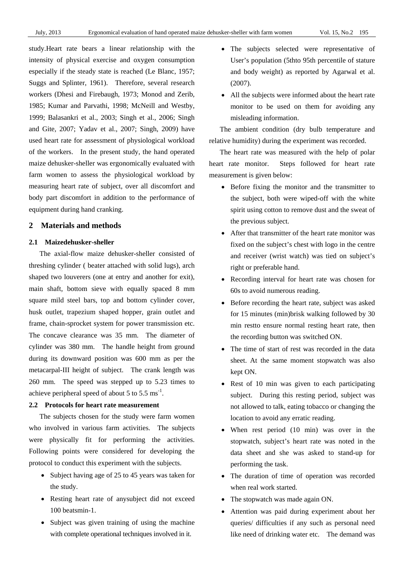study.Heart rate bears a linear relationship with the intensity of physical exercise and oxygen consumption especially if the steady state is reached (Le Blanc, 1957; Suggs and Splinter, 1961). Therefore, several research workers (Dhesi and Firebaugh, 1973; Monod and Zerib, 1985; Kumar and Parvathi, 1998; McNeill and Westby, 1999; Balasankri et al., 2003; Singh et al., 2006; Singh and Gite, 2007; Yadav et al., 2007; Singh, 2009) have used heart rate for assessment of physiological workload of the workers. In the present study, the hand operated maize dehusker-sheller was ergonomically evaluated with farm women to assess the physiological workload by measuring heart rate of subject, over all discomfort and body part discomfort in addition to the performance of equipment during hand cranking.

# **2 Materials and methods**

#### **2.1 Maizedehusker-sheller**

The axial-flow maize dehusker-sheller consisted of threshing cylinder ( beater attached with solid lugs), arch shaped two louverers (one at entry and another for exit), main shaft, bottom sieve with equally spaced 8 mm square mild steel bars, top and bottom cylinder cover, husk outlet, trapezium shaped hopper, grain outlet and frame, chain-sprocket system for power transmission etc. The concave clearance was 35 mm. The diameter of cylinder was 380 mm. The handle height from ground during its downward position was 600 mm as per the metacarpal-III height of subject. The crank length was 260 mm. The speed was stepped up to 5.23 times to achieve peripheral speed of about 5 to 5.5  $\text{ms}^{-1}$ .

# **2.2 Protocols for heart rate measurement**

The subjects chosen for the study were farm women who involved in various farm activities. The subjects were physically fit for performing the activities. Following points were considered for developing the protocol to conduct this experiment with the subjects.

- Subject having age of 25 to 45 years was taken for the study.
- Resting heart rate of any subject did not exceed 100 beatsmin-1.
- Subject was given training of using the machine with complete operational techniques involved in it.
- The subjects selected were representative of User's population (5thto 95th percentile of stature and body weight) as reported by Agarwal et al. (2007).
- All the subjects were informed about the heart rate monitor to be used on them for avoiding any misleading information.

The ambient condition (dry bulb temperature and relative humidity) during the experiment was recorded.

The heart rate was measured with the help of polar heart rate monitor. Steps followed for heart rate measurement is given below:

- Before fixing the monitor and the transmitter to the subject, both were wiped-off with the white spirit using cotton to remove dust and the sweat of the previous subject.
- After that transmitter of the heart rate monitor was fixed on the subject's chest with logo in the centre and receiver (wrist watch) was tied on subject's right or preferable hand.
- Recording interval for heart rate was chosen for 60s to avoid numerous reading.
- Before recording the heart rate, subject was asked for 15 minutes (min)brisk walking followed by 30 min restto ensure normal resting heart rate, then the recording button was switched ON.
- The time of start of rest was recorded in the data sheet. At the same moment stopwatch was also kept ON.
- Rest of 10 min was given to each participating subject. During this resting period, subject was not allowed to talk, eating tobacco or changing the location to avoid any erratic reading.
- When rest period (10 min) was over in the stopwatch, subject's heart rate was noted in the data sheet and she was asked to stand-up for performing the task.
- The duration of time of operation was recorded when real work started.
- The stopwatch was made again ON.
- Attention was paid during experiment about her queries/ difficulties if any such as personal need like need of drinking water etc. The demand was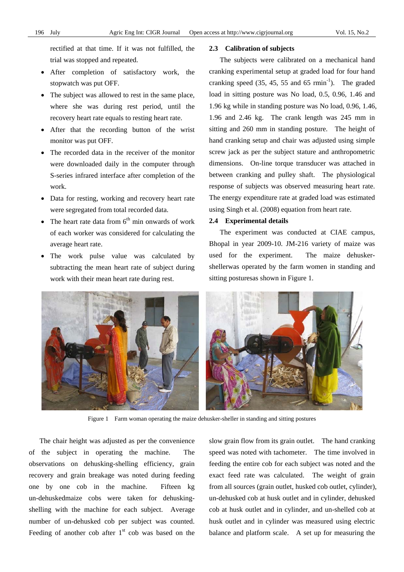rectified at that time. If it was not fulfilled, the trial was stopped and repeated.

- After completion of satisfactory work, the stopwatch was put OFF.
- The subject was allowed to rest in the same place, where she was during rest period, until the recovery heart rate equals to resting heart rate.
- After that the recording button of the wrist monitor was put OFF.
- The recorded data in the receiver of the monitor were downloaded daily in the computer through S-series infrared interface after completion of the work.
- Data for resting, working and recovery heart rate were segregated from total recorded data.
- The heart rate data from  $6<sup>th</sup>$  min onwards of work of each worker was considered for calculating the average heart rate.
- The work pulse value was calculated by subtracting the mean heart rate of subject during work with their mean heart rate during rest.

#### **2.3 Calibration of subjects**

The subjects were calibrated on a mechanical hand cranking experimental setup at graded load for four hand cranking speed  $(35, 45, 55, 45, 55, 45)$  rmin<sup>-1</sup>). The graded load in sitting posture was No load, 0.5, 0.96, 1.46 and 1.96 kg while in standing posture was No load, 0.96, 1.46, 1.96 and 2.46 kg. The crank length was 245 mm in sitting and 260 mm in standing posture. The height of hand cranking setup and chair was adjusted using simple screw jack as per the subject stature and anthropometric dimensions. On-line torque transducer was attached in between cranking and pulley shaft. The physiological response of subjects was observed measuring heart rate. The energy expenditure rate at graded load was estimated using Singh et al. (2008) equation from heart rate.

#### **2.4 Experimental details**

The experiment was conducted at CIAE campus, Bhopal in year 2009-10. JM-216 variety of maize was used for the experiment. The maize dehuskershellerwas operated by the farm women in standing and sitting posturesas shown in Figure 1.



Figure 1 Farm woman operating the maize dehusker-sheller in standing and sitting postures

The chair height was adjusted as per the convenience of the subject in operating the machine. The observations on dehusking-shelling efficiency, grain recovery and grain breakage was noted during feeding one by one cob in the machine. Fifteen kg un-dehuskedmaize cobs were taken for dehuskingshelling with the machine for each subject. Average number of un-dehusked cob per subject was counted. Feeding of another cob after  $1<sup>st</sup>$  cob was based on the slow grain flow from its grain outlet. The hand cranking speed was noted with tachometer. The time involved in feeding the entire cob for each subject was noted and the exact feed rate was calculated. The weight of grain from all sources (grain outlet, husked cob outlet, cylinder), un-dehusked cob at husk outlet and in cylinder, dehusked cob at husk outlet and in cylinder, and un-shelled cob at husk outlet and in cylinder was measured using electric balance and platform scale. A set up for measuring the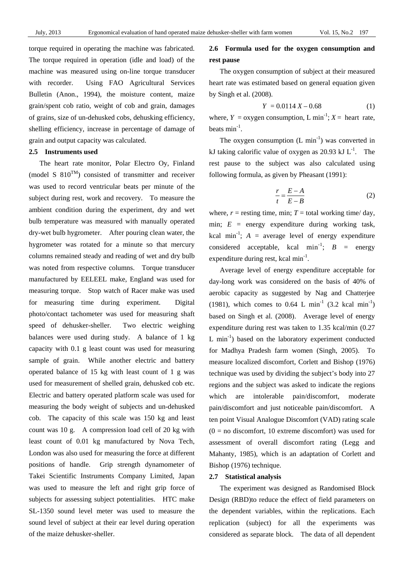torque required in operating the machine was fabricated. The torque required in operation (idle and load) of the machine was measured using on-line torque transducer with recorder. Using FAO Agricultural Services Bulletin (Anon., 1994), the moisture content, maize grain/spent cob ratio, weight of cob and grain, damages of grains, size of un-dehusked cobs, dehusking efficiency, shelling efficiency, increase in percentage of damage of grain and output capacity was calculated.

#### **2.5 Instruments used**

The heart rate monitor, Polar Electro Oy, Finland (model S  $810^{TM}$ ) consisted of transmitter and receiver was used to record ventricular beats per minute of the subject during rest, work and recovery. To measure the ambient condition during the experiment, dry and wet bulb temperature was measured with manually operated dry-wet bulb hygrometer. After pouring clean water, the hygrometer was rotated for a minute so that mercury columns remained steady and reading of wet and dry bulb was noted from respective columns. Torque transducer manufactured by EELEEL make, England was used for measuring torque. Stop watch of Racer make was used for measuring time during experiment. Digital photo/contact tachometer was used for measuring shaft speed of dehusker-sheller. Two electric weighing balances were used during study. A balance of 1 kg capacity with 0.1 g least count was used for measuring sample of grain. While another electric and battery operated balance of 15 kg with least count of 1 g was used for measurement of shelled grain, dehusked cob etc. Electric and battery operated platform scale was used for measuring the body weight of subjects and un-dehusked cob. The capacity of this scale was 150 kg and least count was 10 g. A compression load cell of 20 kg with least count of 0.01 kg manufactured by Nova Tech, London was also used for measuring the force at different positions of handle. Grip strength dynamometer of Takei Scientific Instruments Company Limited, Japan was used to measure the left and right grip force of subjects for assessing subject potentialities. HTC make SL-1350 sound level meter was used to measure the sound level of subject at their ear level during operation of the maize dehusker-sheller.

# **2.6 Formula used for the oxygen consumption and rest pause**

The oxygen consumption of subject at their measured heart rate was estimated based on general equation given by Singh et al. (2008).

$$
Y = 0.0114 X - 0.68 \tag{1}
$$

where,  $Y = \text{oxygen consumption}$ , L min<sup>-1</sup>;  $X = \text{heart rate}$ , beats  $\min^{-1}$ .

The oxygen consumption  $(L \text{ min}^{-1})$  was converted in kJ taking calorific value of oxygen as 20.93 kJ  $L^{-1}$ . The rest pause to the subject was also calculated using following formula, as given by Pheasant (1991):

$$
\frac{r}{t} = \frac{E - A}{E - B} \tag{2}
$$

where,  $r =$  resting time, min;  $T =$  total working time/day, min;  $E =$  energy expenditure during working task, kcal min<sup>-1</sup>;  $A =$  average level of energy expenditure considered acceptable, kcal  $\text{min}^{-1}$ ;  $B = \text{energy}$ expenditure during rest, kcal  $min^{-1}$ .

Average level of energy expenditure acceptable for day-long work was considered on the basis of 40% of aerobic capacity as suggested by Nag and Chatterjee (1981), which comes to 0.64 L min<sup>-1</sup> (3.2 kcal min<sup>-1</sup>) based on Singh et al. (2008). Average level of energy expenditure during rest was taken to 1.35 kcal/min (0.27 L  $min^{-1}$ ) based on the laboratory experiment conducted for Madhya Pradesh farm women (Singh, 2005). To measure localized discomfort, Corlett and Bishop (1976) technique was used by dividing the subject's body into 27 regions and the subject was asked to indicate the regions which are intolerable pain/discomfort, moderate pain/discomfort and just noticeable pain/discomfort. A ten point Visual Analogue Discomfort (VAD) rating scale  $(0 = no$  discomfort, 10 extreme discomfort) was used for assessment of overall discomfort rating (Legg and Mahanty, 1985), which is an adaptation of Corlett and Bishop (1976) technique.

#### **2.7 Statistical analysis**

The experiment was designed as Randomised Block Design (RBD)to reduce the effect of field parameters on the dependent variables, within the replications. Each replication (subject) for all the experiments was considered as separate block. The data of all dependent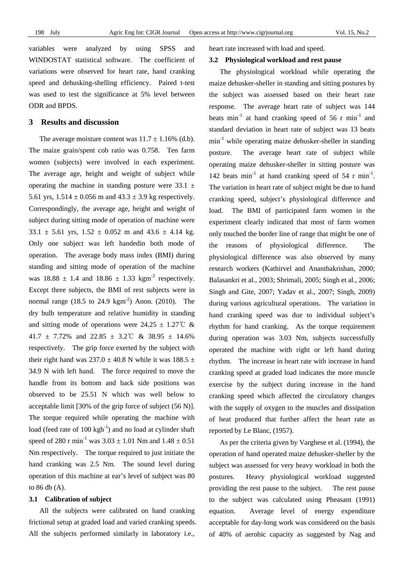variables were analyzed by using SPSS and WINDOSTAT statistical software. The coefficient of variations were observed for heart rate, hand cranking speed and dehusking-shelling efficiency. Paired t-test was used to test the significance at 5% level between ODR and BPDS.

### **3 Results and discussion**

The average moisture content was  $11.7 \pm 1.16\%$  (d.b). The maize grain/spent cob ratio was 0.758. Ten farm women (subjects) were involved in each experiment. The average age, height and weight of subject while operating the machine in standing posture were  $33.1 \pm$ 5.61 yrs,  $1.514 \pm 0.056$  m and  $43.3 \pm 3.9$  kg respectively. Correspondingly, the average age, height and weight of subject during sitting mode of operation of machine were  $33.1 \pm 5.61$  yrs,  $1.52 \pm 0.052$  m and  $43.6 \pm 4.14$  kg. Only one subject was left handedin both mode of operation. The average body mass index (BMI) during standing and sitting mode of operation of the machine was  $18.88 \pm 1.4$  and  $18.86 \pm 1.33$  kgm<sup>-2</sup> respectively. Except three subjects, the BMI of rest subjects were in normal range (18.5 to 24.9 kgm<sup>-2</sup>) Anon. (2010). The dry bulb temperature and relative humidity in standing and sitting mode of operations were  $24.25 \pm 1.27^{\circ}$  & 41.7  $\pm$  7.72% and 22.85  $\pm$  3.2°C & 38.95  $\pm$  14.6% respectively. The grip force exerted by the subject with their right hand was  $237.0 \pm 40.8$  N while it was 188.5  $\pm$ 34.9 N with left hand. The force required to move the handle from its bottom and back side positions was observed to be 25.51 N which was well below to acceptable limit [30% of the grip force of subject (56 N)]. The torque required while operating the machine with load (feed rate of  $100 \text{ kgh}^{-1}$ ) and no load at cylinder shaft speed of 280 r min<sup>-1</sup> was  $3.03 \pm 1.01$  Nm and  $1.48 \pm 0.51$ Nm respectively. The torque required to just initiate the hand cranking was 2.5 Nm. The sound level during operation of this machine at ear's level of subject was 80 to 86 db (A).

#### **3.1 Calibration of subject**

All the subjects were calibrated on hand cranking frictional setup at graded load and varied cranking speeds. All the subjects performed similarly in laboratory i.e.,

heart rate increased with load and speed.

### **3.2 Physiological workload and rest pause**

The physiological workload while operating the maize dehusker-sheller in standing and sitting postures by the subject was assessed based on their heart rate response. The average heart rate of subject was 144 beats min<sup>-1</sup> at hand cranking speed of 56 r min<sup>-1</sup> and standard deviation in heart rate of subject was 13 beats min<sup>-1</sup> while operating maize dehusker-sheller in standing posture. The average heart rate of subject while operating maize dehusker-sheller in sitting posture was 142 beats min<sup>-1</sup> at hand cranking speed of 54 r min<sup>-1</sup>. The variation in heart rate of subject might be due to hand cranking speed, subject's physiological difference and load. The BMI of participated farm women in the experiment clearly indicated that most of farm women only touched the border line of range that might be one of the reasons of physiological difference. The physiological difference was also observed by many research workers (Kathirvel and Ananthakrishan, 2000; Balasankri et al., 2003; Shrimali, 2005; Singh et al., 2006; Singh and Gite, 2007; Yadav et al., 2007; Singh, 2009) during various agricultural operations. The variation in hand cranking speed was due to individual subject's rhythm for hand cranking. As the torque requirement during operation was 3.03 Nm, subjects successfully operated the machine with right or left hand during rhythm. The increase in heart rate with increase in hand cranking speed at graded load indicates the more muscle exercise by the subject during increase in the hand cranking speed which affected the circulatory changes with the supply of oxygen to the muscles and dissipation of heat produced that further affect the heart rate as reported by Le Blanc, (1957).

As per the criteria given by Varghese et al. (1994), the operation of hand operated maize dehusker-sheller by the subject was assessed for very heavy workload in both the postures. Heavy physiological workload suggested providing the rest pause to the subject. The rest pause to the subject was calculated using Pheasant (1991) equation. Average level of energy expenditure acceptable for day-long work was considered on the basis of 40% of aerobic capacity as suggested by Nag and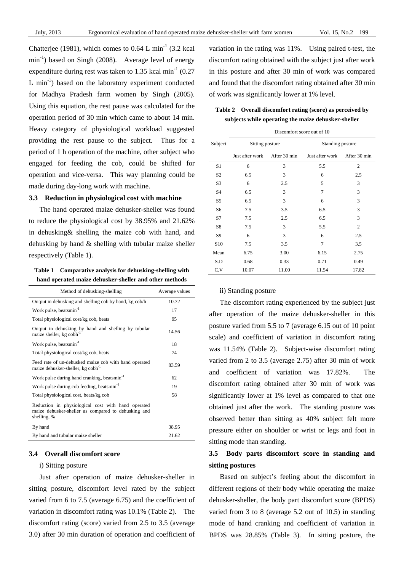Chatterjee (1981), which comes to  $0.64$  L min<sup>-1</sup> (3.2 kcal  $min^{-1}$ ) based on Singh (2008). Average level of energy expenditure during rest was taken to 1.35 kcal  $min^{-1}$  (0.27) L  $min^{-1}$ ) based on the laboratory experiment conducted for Madhya Pradesh farm women by Singh (2005). Using this equation, the rest pause was calculated for the operation period of 30 min which came to about 14 min. Heavy category of physiological workload suggested providing the rest pause to the subject. Thus for a period of 1 h operation of the machine, other subject who engaged for feeding the cob, could be shifted for operation and vice-versa. This way planning could be made during day-long work with machine.

#### **3.3 Reduction in physiological cost with machine**

The hand operated maize dehusker-sheller was found to reduce the physiological cost by 38.95% and 21.62% in dehusking& shelling the maize cob with hand, and dehusking by hand & shelling with tubular maize sheller respectively (Table 1).

**Table 1 Comparative analysis for dehusking-shelling with hand operated maize dehusker-sheller and other methods** 

| Method of dehusking-shelling                                                                                             | Average values |
|--------------------------------------------------------------------------------------------------------------------------|----------------|
| Output in dehusking and shelling cob by hand, kg cob/h                                                                   | 10.72          |
| Work pulse, beatsmin $^{-1}$                                                                                             | 17             |
| Total physiological cost/kg cob, beats                                                                                   | 95             |
| Output in dehusking by hand and shelling by tubular<br>maize sheller, kg cobh <sup>-</sup>                               | 14.56          |
| Work pulse, beatsmin <sup>-1</sup>                                                                                       | 18             |
| Total physiological cost/kg cob, beats                                                                                   | 74             |
| Feed rate of un-dehusked maize cob with hand operated<br>maize dehusker-sheller, kg cobh <sup>-1</sup>                   | 83.59          |
| Work pulse during hand cranking, beatsmin <sup>-1</sup>                                                                  | 62             |
| Work pulse during cob feeding, beatsmin <sup>-1</sup>                                                                    | 19             |
| Total physiological cost, beats/kg cob                                                                                   | 58             |
| Reduction in physiological cost with hand operated<br>maize dehusker-sheller as compared to dehusking and<br>shelling, % |                |
| By hand                                                                                                                  | 38.95          |
| By hand and tubular maize sheller                                                                                        | 21.62          |

#### **3.4 Overall discomfort score**

#### i) Sitting posture

Just after operation of maize dehusker-sheller in sitting posture, discomfort level rated by the subject varied from 6 to 7.5 (average 6.75) and the coefficient of variation in discomfort rating was 10.1% (Table 2). The discomfort rating (score) varied from 2.5 to 3.5 (average 3.0) after 30 min duration of operation and coefficient of variation in the rating was 11%. Using paired t-test, the discomfort rating obtained with the subject just after work in this posture and after 30 min of work was compared and found that the discomfort rating obtained after 30 min of work was significantly lower at 1% level.

| Table 2 Overall discomfort rating (score) as perceived by |
|-----------------------------------------------------------|
| subjects while operating the maize dehusker-sheller       |

|                 | Discomfort score out of 10 |              |                  |                |  |
|-----------------|----------------------------|--------------|------------------|----------------|--|
| Subject         | Sitting posture            |              | Standing posture |                |  |
|                 | Just after work            | After 30 min | Just after work  | After 30 min   |  |
| S1              | 6                          | 3            | 5.5              | $\overline{2}$ |  |
| S2              | 6.5                        | 3            | 6                | 2.5            |  |
| S3              | 6                          | 2.5          | 5                | 3              |  |
| S4              | 6.5                        | 3            | 7                | 3              |  |
| S5              | 6.5                        | 3            | 6                | 3              |  |
| S6              | 7.5                        | 3.5          | 6.5              | 3              |  |
| S7              | 7.5                        | 2.5          | 6.5              | 3              |  |
| S8              | 7.5                        | 3            | 5.5              | $\overline{2}$ |  |
| S9              | 6                          | 3            | 6                | 2.5            |  |
| S <sub>10</sub> | 7.5                        | 3.5          | 7                | 3.5            |  |
| Mean            | 6.75                       | 3.00         | 6.15             | 2.75           |  |
| S.D             | 0.68                       | 0.33         | 0.71             | 0.49           |  |
| C.V             | 10.07                      | 11.00        | 11.54            | 17.82          |  |

#### ii) Standing posture

The discomfort rating experienced by the subject just after operation of the maize dehusker-sheller in this posture varied from 5.5 to 7 (average 6.15 out of 10 point scale) and coefficient of variation in discomfort rating was 11.54% (Table 2). Subject-wise discomfort rating varied from 2 to 3.5 (average 2.75) after 30 min of work and coefficient of variation was 17.82%. The discomfort rating obtained after 30 min of work was significantly lower at 1% level as compared to that one obtained just after the work. The standing posture was observed better than sitting as 40% subject felt more pressure either on shoulder or wrist or legs and foot in sitting mode than standing.

# **3.5 Body parts discomfort score in standing and sitting postures**

Based on subject's feeling about the discomfort in different regions of their body while operating the maize dehusker-sheller, the body part discomfort score (BPDS) varied from 3 to 8 (average 5.2 out of 10.5) in standing mode of hand cranking and coefficient of variation in BPDS was 28.85% (Table 3). In sitting posture, the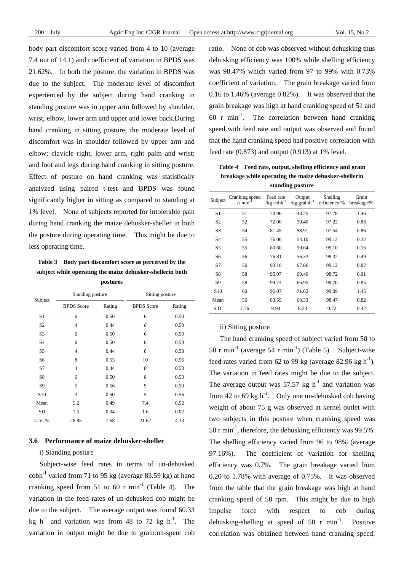body part discomfort score varied from 4 to 10 (average 7.4 out of 14.1) and coefficient of variation in BPDS was 21.62%. In both the posture, the variation in BPDS was due to the subject. The moderate level of discomfort experienced by the subject during hand cranking in standing posture was in upper arm followed by shoulder, wrist, elbow, lower arm and upper and lower back.During hand cranking in sitting posture, the moderate level of discomfort was in shoulder followed by upper arm and elbow; clavicle right, lower arm, right palm and wrist; and foot and legs during hand cranking in sitting posture. Effect of posture on hand cranking was statistically analyzed using paired t-test and BPDS was found significantly higher in sitting as compared to standing at 1% level. None of subjects reported for intolerable pain during hand cranking the maize dehusker-sheller in both the posture during operating time. This might be due to less operating time.

**Table 3 Body part discomfort score as perceived by the subject while operating the maize dehusker-shellerin both postures** 

| Subject         | Standing posture  |        | Sitting posture   |        |  |
|-----------------|-------------------|--------|-------------------|--------|--|
|                 | <b>BPDS</b> Score | Rating | <b>BPDS</b> Score | Rating |  |
| S1              | 6                 | 0.50   | 6                 | 0.50   |  |
| S <sub>2</sub>  | $\overline{4}$    | 0.44   | 6                 | 0.50   |  |
| S <sub>3</sub>  | 6                 | 0.50   | 6                 | 0.50   |  |
| S <sub>4</sub>  | 6                 | 0.50   | 8                 | 0.53   |  |
| S5              | $\overline{4}$    | 0.44   | 8                 | 0.53   |  |
| S6              | 8                 | 0.53   | 10                | 0.56   |  |
| S7              | $\overline{4}$    | 0.44   | 8                 | 0.53   |  |
| S8              | 6                 | 0.50   | 8                 | 0.53   |  |
| S9              | 5                 | 0.56   | 9                 | 0.50   |  |
| S <sub>10</sub> | 3                 | 0.50   | 5                 | 0.56   |  |
| Mean            | 5.2               | 0.49   | 7.4               | 0.52   |  |
| SD              | 1.5               | 0.04   | 1.6               | 0.02   |  |
| C.V. %          | 28.85             | 7.68   | 21.62             | 4.33   |  |

#### **3.6 Performance of maize dehusker-sheller**

# i) Standing posture

Subject-wise feed rates in terms of un-dehusked  $\cosh^{-1}$  varied from 71 to 95 kg (average 83.59 kg) at hand cranking speed from 51 to 60 r  $min^{-1}$  (Table 4). The variation in the feed rates of un-dehusked cob might be due to the subject. The average output was found 60.33 kg h<sup>-1</sup> and variation was from 48 to 72 kg h<sup>-1</sup>. The variation in output might be due to grain:un-spent cob ratio. None of cob was observed without dehusking thus dehusking efficiency was 100% while shelling efficiency was 98.47% which varied from 97 to 99% with 0.73% coefficient of variation. The grain breakage varied from 0.16 to 1.46% (average 0.82%). It was observed that the grain breakage was high at hand cranking speed of 51 and 60 r min<sup>-1</sup>. The correlation between hand cranking speed with feed rate and output was observed and found that the hand cranking speed had positive correlation with feed rate (0.873) and output (0.913) at 1% level.

**Table 4 Feed rate, output, shelling efficiency and grain breakage while operating the maize dehusker-shellerin standing posture** 

| Subject         | Cranking speed<br>/r min | Feed rate<br>$/kg \cosh^{-1}$ | Output<br>/ $kg$ grainh $^{-1}$ | Shelling<br>efficiency/% | Grain<br>breakage/% |
|-----------------|--------------------------|-------------------------------|---------------------------------|--------------------------|---------------------|
| S1              | 51                       | 70.96                         | 48.25                           | 97.78                    | 1.46                |
| S2              | 52                       | 72.00                         | 50.40                           | 97.22                    | 0.88                |
| S3              | 54                       | 81.45                         | 58.91                           | 97.54                    | 0.86                |
| S4              | 55                       | 76.06                         | 54.10                           | 99.12                    | 0.32                |
| S <sub>5</sub>  | 55                       | 80.60                         | 59.64                           | 99.10                    | 0.16                |
| S6              | 56                       | 76.81                         | 56.33                           | 98.32                    | 0.49                |
| S7              | 56                       | 93.10                         | 67.66                           | 99.12                    | 0.82                |
| S8              | 58                       | 95.07                         | 69.40                           | 98.72                    | 0.91                |
| S9              | 58                       | 94.74                         | 66.95                           | 98.70                    | 0.85                |
| S <sub>10</sub> | 60                       | 95.07                         | 71.62                           | 99.09                    | 1.45                |
| Mean            | 56                       | 83.59                         | 60.33                           | 98.47                    | 0.82                |
| S.D.            | 2.76                     | 9.94                          | 8.23                            | 0.72                     | 0.42                |

#### ii) Sitting posture

The hand cranking speed of subject varied from 50 to 58 r min<sup>-1</sup> (average 54 r min<sup>-1</sup>) (Table 5). Subject-wise feed rates varied from 62 to 99 kg (average 82.96 kg  $h^{-1}$ ). The variation in feed rates might be due to the subject. The average output was 57.57 kg  $h^{-1}$  and variation was from 42 to 69 kg  $h^{-1}$ . Only one un-dehusked cob having weight of about 75 g was observed at kernel outlet with two subjects in this posture when cranking speed was 58 r min-1, therefore, the dehusking efficiency was 99.5%. The shelling efficiency varied from 96 to 98% (average 97.16%). The coefficient of variation for shelling efficiency was 0.7%. The grain breakage varied from 0.20 to 1.78% with average of 0.75%. It was observed from the table that the grain breakage was high at hand cranking speed of 58 rpm. This might be due to high impulse force with respect to cob during dehusking-shelling at speed of 58 r  $min^{-1}$ . Positive correlation was obtained between hand cranking speed,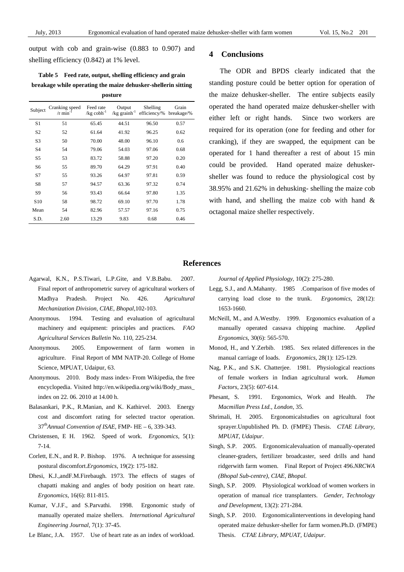output with cob and grain-wise (0.883 to 0.907) and shelling efficiency (0.842) at 1% level.

**Table 5 Feed rate, output, shelling efficiency and grain breakage while operating the maize dehusker-shellerin sitting posture** 

| Subject         | Cranking speed<br>$/r$ min | Feed rate<br>$/kg \cosh^{-1}$ | Output<br>/ $kg$ grainh <sup>-1</sup> | Shelling<br>efficiency/% | Grain<br>breakage/% |
|-----------------|----------------------------|-------------------------------|---------------------------------------|--------------------------|---------------------|
| S1              | 51                         | 65.45                         | 44.51                                 | 96.50                    | 0.57                |
| S <sub>2</sub>  | 52                         | 61.64                         | 41.92                                 | 96.25                    | 0.62                |
| S <sub>3</sub>  | 50                         | 70.00                         | 48.00                                 | 96.10                    | 0.6                 |
| S <sub>4</sub>  | 54                         | 79.06                         | 54.03                                 | 97.06                    | 0.68                |
| S5              | 53                         | 83.72                         | 58.88                                 | 97.20                    | 0.20                |
| S6              | 55                         | 89.70                         | 64.29                                 | 97.91                    | 0.40                |
| S7              | 55                         | 93.26                         | 64.97                                 | 97.81                    | 0.59                |
| S8              | 57                         | 94.57                         | 63.36                                 | 97.32                    | 0.74                |
| S9              | 56                         | 93.43                         | 66.64                                 | 97.80                    | 1.35                |
| S <sub>10</sub> | 58                         | 98.72                         | 69.10                                 | 97.70                    | 1.78                |
| Mean            | 54                         | 82.96                         | 57.57                                 | 97.16                    | 0.75                |
| S.D.            | 2.60                       | 13.29                         | 9.83                                  | 0.68                     | 0.46                |

## **4 Conclusions**

The ODR and BPDS clearly indicated that the standing posture could be better option for operation of the maize dehusker-sheller. The entire subjects easily operated the hand operated maize dehusker-sheller with either left or right hands. Since two workers are required for its operation (one for feeding and other for cranking), if they are swapped, the equipment can be operated for 1 hand thereafter a rest of about 15 min could be provided. Hand operated maize dehuskersheller was found to reduce the physiological cost by 38.95% and 21.62% in dehusking- shelling the maize cob with hand, and shelling the maize cob with hand & octagonal maize sheller respectively.

## **References**

- Agarwal, K.N., P.S.Tiwari, L.P.Gite, and V.B.Babu. 2007. Final report of anthropometric survey of agricultural workers of Madhya Pradesh. Project No. 426. *Agricultural Mechanization Division, CIAE, Bhopal*,102-103.
- Anonymous. 1994. Testing and evaluation of agricultural machinery and equipment: principles and practices. *FAO Agricultural Services Bulletin* No. 110, 225-234.
- Anonymous. 2005. Empowerment of farm women in agriculture. Final Report of MM NATP-20. College of Home Science, MPUAT, Udaipur, 63.
- Anonymous. 2010. Body mass index- From Wikipedia, the free encyclopedia. Visited http://en.wikipedia.org/wiki/Body\_mass\_ index on 22. 06. 2010 at 14.00 h.
- Balasankari, P.K., R.Manian, and K. Kathirvel. 2003. Energy cost and discomfort rating for selected tractor operation. 37th*Annual Convention of ISAE*, FMP- HE – 6, 339-343.
- Christensen, E H. 1962. Speed of work. *Ergonomics*, 5(1): 7-14.
- Corlett, E.N., and R. P. Bishop. 1976. A technique for assessing postural discomfort.*Ergonomics*, 19(2): 175-182.
- Dhesi, K.J.,andF.M.Firebaugh. 1973. The effects of stages of chapatti making and angles of body position on heart rate. *Ergonomics*, 16(6): 811-815.
- Kumar, V.J.F., and S.Parvathi. 1998. Ergonomic study of manually operated maize shellers. *International Agricultural Engineering Journal*, 7(1): 37-45.

Le Blanc, J.A. 1957. Use of heart rate as an index of workload.

*Journal of Applied Physiology*, 10(2): 275-280.

- Legg, S.J., and A.Mahanty. 1985 .Comparison of five modes of carrying load close to the trunk. *Ergonomics*, 28(12): 1653-1660.
- McNeill, M., and A.Westby. 1999. Ergonomics evaluation of a manually operated cassava chipping machine. *Applied Ergonomics*, 30(6): 565-570.
- Monod, H., and Y.Zerbib. 1985. Sex related differences in the manual carriage of loads. *Ergonomics*, 28(1): 125-129.
- Nag, P.K., and S.K. Chatterjee. 1981. Physiological reactions of female workers in Indian agricultural work. *Human Factors*, 23(5): 607-614.
- Phesant, S. 1991. Ergonomics, Work and Health. *The Macmillan Press Ltd., London*, 35.
- Shrimali, H. 2005. Ergonomicalstudies on agricultural foot sprayer.Unpublished Ph. D. (FMPE) Thesis. *CTAE Library, MPUAT, Udaipur*.
- Singh, S.P. 2005. Ergonomicalevaluation of manually-operated cleaner-graders, fertilizer broadcaster, seed drills and hand ridgerwith farm women. Final Report of Project 496.*NRCWA (Bhopal Sub-centre), CIAE, Bhopal*.
- Singh, S.P. 2009. Physiological workload of women workers in operation of manual rice transplanters. *Gender, Technology and Development*, 13(2): 271-284.
- Singh, S.P. 2010. Ergonomicalinterventions in developing hand operated maize dehusker-sheller for farm women.Ph.D. (FMPE) Thesis. *CTAE Library, MPUAT, Udaipur*.